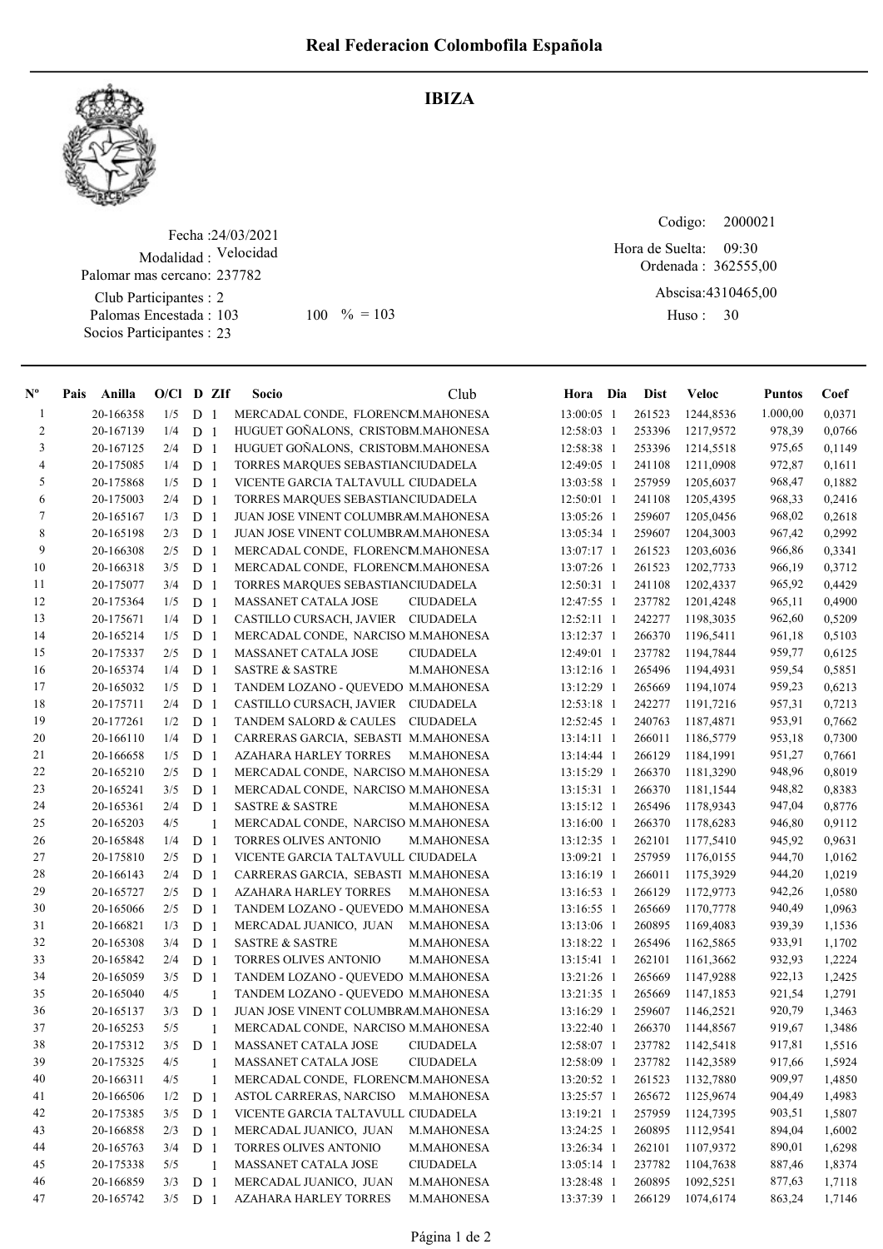

## IBIZA

Fecha : 24/03/2021 Modalidad : Velocidad Palomar mas cercano: 237782

Club Participantes : 2 Palomas Encestada : Socios Participantes : 23

103 100 % = 103 Huso: 30

Codigo: 09:30 Hora de Suelta:

Ordenada : 362555,00

Abscisa: 4310465,00

Huso: 30

| $N^{\circ}$    | Pais | Anilla    | $O/Cl$ D ZIf |                |    | Socio                               | Club              | Hora Dia     | <b>Dist</b> | Veloc     | <b>Puntos</b> | Coef   |
|----------------|------|-----------|--------------|----------------|----|-------------------------------------|-------------------|--------------|-------------|-----------|---------------|--------|
| -1             |      | 20-166358 | 1/5          | D <sub>1</sub> |    | MERCADAL CONDE, FLORENCM.MAHONESA   |                   | 13:00:05 1   | 261523      | 1244,8536 | 1.000,00      | 0,0371 |
| $\overline{c}$ |      | 20-167139 | 1/4          | D <sub>1</sub> |    | HUGUET GOÑALONS, CRISTOBM.MAHONESA  |                   | 12:58:03 1   | 253396      | 1217,9572 | 978,39        | 0,0766 |
| $\mathfrak{Z}$ |      | 20-167125 | 2/4          | D <sub>1</sub> |    | HUGUET GOÑALONS, CRISTOBM.MAHONESA  |                   | 12:58:38 1   | 253396      | 1214,5518 | 975,65        | 0,1149 |
| $\overline{4}$ |      | 20-175085 | 1/4          | D <sub>1</sub> |    | TORRES MARQUES SEBASTIANCIUDADELA   |                   | 12:49:05 1   | 241108      | 1211,0908 | 972,87        | 0,1611 |
| 5              |      | 20-175868 | 1/5          | D <sub>1</sub> |    | VICENTE GARCIA TALTAVULL CIUDADELA  |                   | 13:03:58 1   | 257959      | 1205,6037 | 968,47        | 0,1882 |
| 6              |      | 20-175003 | 2/4          | D <sub>1</sub> |    | TORRES MARQUES SEBASTIANCIUDADELA   |                   | $12:50:01$ 1 | 241108      | 1205,4395 | 968,33        | 0,2416 |
| $\tau$         |      | 20-165167 | 1/3          | D <sub>1</sub> |    | JUAN JOSE VINENT COLUMBRAM.MAHONESA |                   | 13:05:26 1   | 259607      | 1205,0456 | 968,02        | 0,2618 |
| 8              |      | 20-165198 | 2/3          | D <sub>1</sub> |    | JUAN JOSE VINENT COLUMBRAM.MAHONESA |                   | 13:05:34 1   | 259607      | 1204,3003 | 967,42        | 0,2992 |
| 9              |      | 20-166308 | 2/5          | D <sub>1</sub> |    | MERCADAL CONDE, FLORENCM.MAHONESA   |                   | $13:07:17$ 1 | 261523      | 1203,6036 | 966,86        | 0,3341 |
| 10             |      | 20-166318 | 3/5          | D <sub>1</sub> |    | MERCADAL CONDE, FLORENCM.MAHONESA   |                   | 13:07:26 1   | 261523      | 1202,7733 | 966,19        | 0,3712 |
| 11             |      | 20-175077 | 3/4          | D <sub>1</sub> |    | TORRES MARQUES SEBASTIANCIUDADELA   |                   | $12:50:31$ 1 | 241108      | 1202,4337 | 965,92        | 0,4429 |
| 12             |      | 20-175364 | 1/5          | D <sub>1</sub> |    | MASSANET CATALA JOSE                | <b>CIUDADELA</b>  | 12:47:55 1   | 237782      | 1201,4248 | 965,11        | 0,4900 |
| 13             |      | 20-175671 | 1/4          | D <sub>1</sub> |    | CASTILLO CURSACH, JAVIER CIUDADELA  |                   | $12:52:11$ 1 | 242277      | 1198,3035 | 962,60        | 0,5209 |
| 14             |      | 20-165214 | 1/5          | D <sub>1</sub> |    | MERCADAL CONDE, NARCISO M.MAHONESA  |                   | 13:12:37 1   | 266370      | 1196,5411 | 961,18        | 0,5103 |
| 15             |      | 20-175337 | 2/5          | D <sub>1</sub> |    | MASSANET CATALA JOSE                | <b>CIUDADELA</b>  | 12:49:01 1   | 237782      | 1194,7844 | 959,77        | 0,6125 |
| 16             |      | 20-165374 | 1/4          | D <sub>1</sub> |    | <b>SASTRE &amp; SASTRE</b>          | M.MAHONESA        | $13:12:16$ 1 | 265496      | 1194,4931 | 959,54        | 0,5851 |
| 17             |      | 20-165032 | 1/5          | D <sub>1</sub> |    | TANDEM LOZANO - QUEVEDO M.MAHONESA  |                   | 13:12:29 1   | 265669      | 1194,1074 | 959,23        | 0,6213 |
| 18             |      | 20-175711 | 2/4          | D <sub>1</sub> |    | CASTILLO CURSACH, JAVIER CIUDADELA  |                   | 12:53:18 1   | 242277      | 1191,7216 | 957,31        | 0,7213 |
| 19             |      | 20-177261 | 1/2          | D <sub>1</sub> |    | <b>TANDEM SALORD &amp; CAULES</b>   | <b>CIUDADELA</b>  | 12:52:45 1   | 240763      | 1187,4871 | 953,91        | 0,7662 |
| 20             |      | 20-166110 | 1/4          | D <sub>1</sub> |    | CARRERAS GARCIA, SEBASTI M.MAHONESA |                   | $13:14:11$ 1 | 266011      | 1186,5779 | 953,18        | 0,7300 |
| 21             |      | 20-166658 | 1/5          | D <sub>1</sub> |    | <b>AZAHARA HARLEY TORRES</b>        | M.MAHONESA        | 13:14:44 1   | 266129      | 1184,1991 | 951,27        | 0,7661 |
| 22             |      | 20-165210 | 2/5          | D <sub>1</sub> |    | MERCADAL CONDE, NARCISO M.MAHONESA  |                   | 13:15:29 1   | 266370      | 1181,3290 | 948,96        | 0,8019 |
| 23             |      | 20-165241 | 3/5          | D <sub>1</sub> |    | MERCADAL CONDE, NARCISO M.MAHONESA  |                   | $13:15:31$ 1 | 266370      | 1181,1544 | 948,82        | 0,8383 |
| 24             |      | 20-165361 | 2/4          | D <sub>1</sub> |    | <b>SASTRE &amp; SASTRE</b>          | M.MAHONESA        | 13:15:12 1   | 265496      | 1178,9343 | 947,04        | 0,8776 |
| 25             |      | 20-165203 | 4/5          |                | 1  | MERCADAL CONDE, NARCISO M.MAHONESA  |                   | 13:16:00 1   | 266370      | 1178,6283 | 946,80        | 0,9112 |
| 26             |      | 20-165848 | 1/4          | D <sub>1</sub> |    | TORRES OLIVES ANTONIO               | M.MAHONESA        | 13:12:35 1   | 262101      | 1177,5410 | 945,92        | 0,9631 |
| 27             |      | 20-175810 | 2/5          | D <sub>1</sub> |    | VICENTE GARCIA TALTAVULL CIUDADELA  |                   | 13:09:21 1   | 257959      | 1176,0155 | 944,70        | 1,0162 |
| 28             |      | 20-166143 | 2/4          | D <sub>1</sub> |    | CARRERAS GARCIA, SEBASTI M.MAHONESA |                   | 13:16:19 1   | 266011      | 1175,3929 | 944,20        | 1,0219 |
| 29             |      | 20-165727 | 2/5          | D <sub>1</sub> |    | <b>AZAHARA HARLEY TORRES</b>        | M.MAHONESA        | $13:16:53$ 1 | 266129      | 1172,9773 | 942,26        | 1,0580 |
| 30             |      | 20-165066 | 2/5          | D <sub>1</sub> |    | TANDEM LOZANO - QUEVEDO M.MAHONESA  |                   | 13:16:55 1   | 265669      | 1170,7778 | 940,49        | 1,0963 |
| 31             |      | 20-166821 | 1/3          | D <sub>1</sub> |    | MERCADAL JUANICO, JUAN              | M.MAHONESA        | 13:13:06 1   | 260895      | 1169,4083 | 939,39        | 1,1536 |
| 32             |      | 20-165308 | 3/4          | D <sub>1</sub> |    | <b>SASTRE &amp; SASTRE</b>          | M.MAHONESA        | 13:18:22 1   | 265496      | 1162,5865 | 933,91        | 1,1702 |
| 33             |      | 20-165842 | 2/4          | D <sub>1</sub> |    | TORRES OLIVES ANTONIO               | M.MAHONESA        | $13:15:41$ 1 | 262101      | 1161,3662 | 932,93        | 1,2224 |
| 34             |      | 20-165059 | 3/5          | D <sub>1</sub> |    | TANDEM LOZANO - QUEVEDO M.MAHONESA  |                   | 13:21:26 1   | 265669      | 1147,9288 | 922,13        | 1,2425 |
| 35             |      | 20-165040 | 4/5          |                | 1  | TANDEM LOZANO - QUEVEDO M.MAHONESA  |                   | 13:21:35 1   | 265669      | 1147,1853 | 921,54        | 1,2791 |
| 36             |      | 20-165137 | 3/3          | D <sub>1</sub> |    | JUAN JOSE VINENT COLUMBRAM.MAHONESA |                   | 13:16:29 1   | 259607      | 1146,2521 | 920,79        | 1,3463 |
| 37             |      | 20-165253 | 5/5          |                | 1  | MERCADAL CONDE, NARCISO M.MAHONESA  |                   | 13:22:40 1   | 266370      | 1144,8567 | 919,67        | 1,3486 |
| 38             |      | 20-175312 | 3/5          | D <sub>1</sub> |    | MASSANET CATALA JOSE                | CIUDADELA         | 12:58:07 1   | 237782      | 1142,5418 | 917,81        | 1,5516 |
| 39             |      | 20-175325 | 4/5          |                | -1 | MASSANET CATALA JOSE                | <b>CIUDADELA</b>  | 12:58:09 1   | 237782      | 1142,3589 | 917,66        | 1,5924 |
| 40             |      | 20-166311 | 4/5          |                | 1  | MERCADAL CONDE, FLORENCM.MAHONESA   |                   | 13:20:52 1   | 261523      | 1132,7880 | 909,97        | 1,4850 |
| 41             |      | 20-166506 | 1/2          | D <sub>1</sub> |    | <b>ASTOL CARRERAS, NARCISO</b>      | <b>M.MAHONESA</b> | 13:25:57 1   | 265672      | 1125,9674 | 904,49        | 1,4983 |
| 42             |      | 20-175385 | 3/5          | D <sub>1</sub> |    | VICENTE GARCIA TALTAVULL CIUDADELA  |                   | 13:19:21 1   | 257959      | 1124,7395 | 903,51        | 1,5807 |
| 43             |      | 20-166858 | 2/3          | D <sub>1</sub> |    | MERCADAL JUANICO, JUAN              | M.MAHONESA        | 13:24:25 1   | 260895      | 1112,9541 | 894,04        | 1,6002 |
| 44             |      | 20-165763 | 3/4          | D <sub>1</sub> |    | TORRES OLIVES ANTONIO               | M.MAHONESA        | 13:26:34 1   | 262101      | 1107,9372 | 890,01        | 1,6298 |
| 45             |      | 20-175338 | 5/5          |                | 1  | MASSANET CATALA JOSE                | <b>CIUDADELA</b>  | 13:05:14 1   | 237782      | 1104,7638 | 887,46        | 1,8374 |
| 46             |      | 20-166859 | 3/3          | D <sub>1</sub> |    | MERCADAL JUANICO, JUAN              | M.MAHONESA        | 13:28:48 1   | 260895      | 1092,5251 | 877,63        | 1,7118 |
| 47             |      | 20-165742 | 3/5          | D <sub>1</sub> |    | <b>AZAHARA HARLEY TORRES</b>        | M.MAHONESA        | 13:37:39 1   | 266129      | 1074,6174 | 863,24        | 1,7146 |
|                |      |           |              |                |    |                                     |                   |              |             |           |               |        |